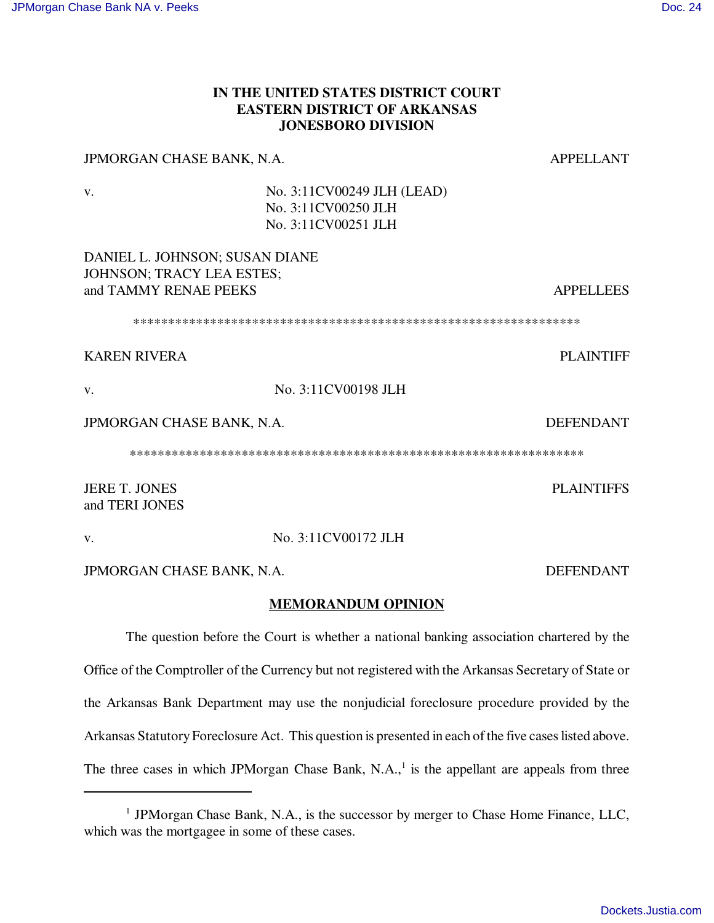## **IN THE UNITED STATES DISTRICT COURT EASTERN DISTRICT OF ARKANSAS JONESBORO DIVISION**

# JPMORGAN CHASE BANK, N.A. And Appellant

v. No. 3:11CV00249 JLH (LEAD) No. 3:11CV00250 JLH No. 3:11CV00251 JLH

## DANIEL L. JOHNSON; SUSAN DIANE JOHNSON; TRACY LEA ESTES; and TAMMY RENAE PEEKS APPELLEES

\*\*\*\*\*\*\*\*\*\*\*\*\*\*\*\*\*\*\*\*\*\*\*\*\*\*\*\*\*\*\*\*\*\*\*\*\*\*\*\*\*\*\*\*\*\*\*\*\*\*\*\*\*\*\*\*\*\*\*\*\*\*\*\*

# KAREN RIVERA PLAINTIFF

v. No. 3:11CV00198 JLH

## JPMORGAN CHASE BANK, N.A. DEFENDANT

\*\*\*\*\*\*\*\*\*\*\*\*\*\*\*\*\*\*\*\*\*\*\*\*\*\*\*\*\*\*\*\*\*\*\*\*\*\*\*\*\*\*\*\*\*\*\*\*\*\*\*\*\*\*\*\*\*\*\*\*\*\*\*\*\*

JERE T. JONES PLAINTIFFS and TERI JONES

## v. No. 3:11CV00172 JLH

JPMORGAN CHASE BANK, N.A. DEFENDANT

## **MEMORANDUM OPINION**

The question before the Court is whether a national banking association chartered by the Office of the Comptroller of the Currency but not registered with the Arkansas Secretary of State or the Arkansas Bank Department may use the nonjudicial foreclosure procedure provided by the Arkansas Statutory Foreclosure Act. This question is presented in each of the five cases listed above. The three cases in which JPMorgan Chase Bank, N.A., $<sup>1</sup>$  is the appellant are appeals from three</sup>

<sup>&</sup>lt;sup>1</sup> JPMorgan Chase Bank, N.A., is the successor by merger to Chase Home Finance, LLC, which was the mortgagee in some of these cases.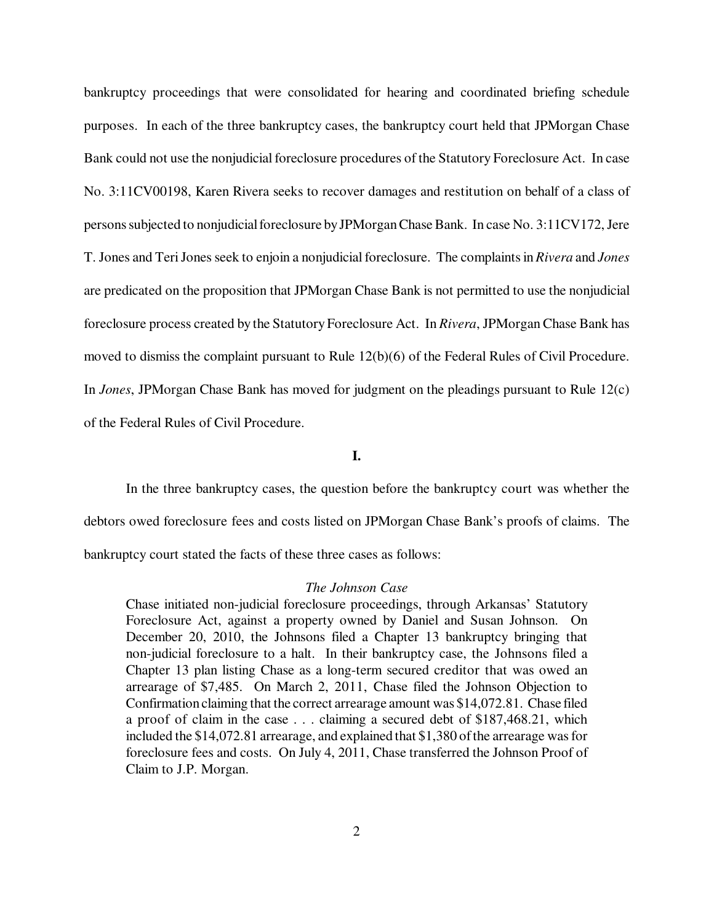bankruptcy proceedings that were consolidated for hearing and coordinated briefing schedule purposes. In each of the three bankruptcy cases, the bankruptcy court held that JPMorgan Chase Bank could not use the nonjudicial foreclosure procedures of the Statutory Foreclosure Act. In case No. 3:11CV00198, Karen Rivera seeks to recover damages and restitution on behalf of a class of persons subjected to nonjudicial foreclosure by JPMorgan Chase Bank. In case No. 3:11CV172, Jere T. Jones and Teri Jones seek to enjoin a nonjudicial foreclosure. The complaints in *Rivera* and *Jones* are predicated on the proposition that JPMorgan Chase Bank is not permitted to use the nonjudicial foreclosure process created by the Statutory Foreclosure Act. In *Rivera*, JPMorgan Chase Bank has moved to dismiss the complaint pursuant to Rule 12(b)(6) of the Federal Rules of Civil Procedure. In *Jones*, JPMorgan Chase Bank has moved for judgment on the pleadings pursuant to Rule 12(c) of the Federal Rules of Civil Procedure.

**I.**

In the three bankruptcy cases, the question before the bankruptcy court was whether the debtors owed foreclosure fees and costs listed on JPMorgan Chase Bank's proofs of claims. The bankruptcy court stated the facts of these three cases as follows:

#### *The Johnson Case*

Chase initiated non-judicial foreclosure proceedings, through Arkansas' Statutory Foreclosure Act, against a property owned by Daniel and Susan Johnson. On December 20, 2010, the Johnsons filed a Chapter 13 bankruptcy bringing that non-judicial foreclosure to a halt. In their bankruptcy case, the Johnsons filed a Chapter 13 plan listing Chase as a long-term secured creditor that was owed an arrearage of \$7,485. On March 2, 2011, Chase filed the Johnson Objection to Confirmation claiming that the correct arrearage amount was \$14,072.81. Chase filed a proof of claim in the case . . . claiming a secured debt of \$187,468.21, which included the \$14,072.81 arrearage, and explained that \$1,380 of the arrearage was for foreclosure fees and costs. On July 4, 2011, Chase transferred the Johnson Proof of Claim to J.P. Morgan.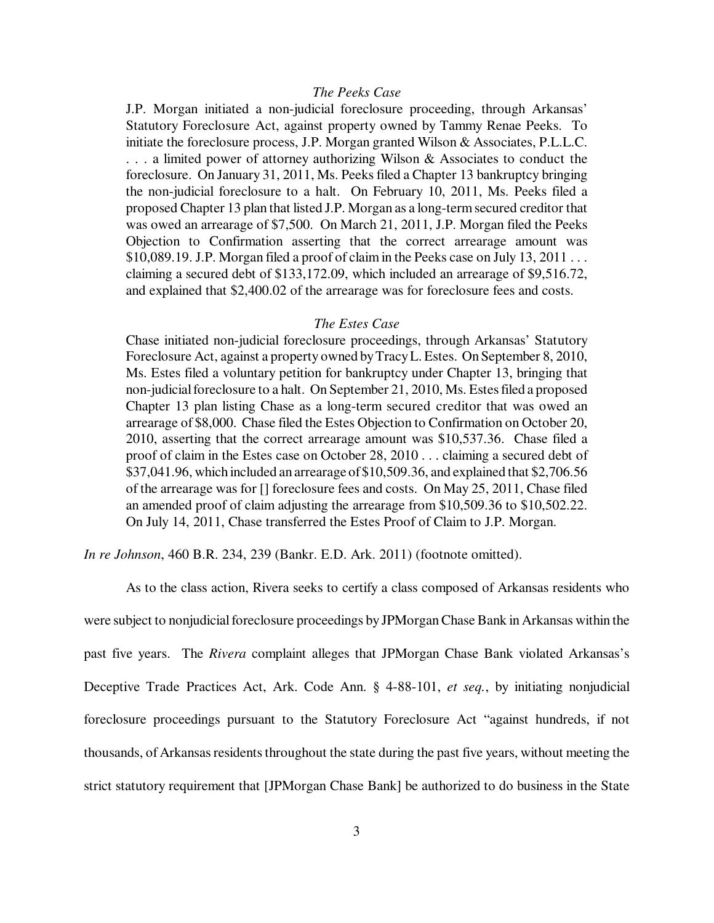#### *The Peeks Case*

J.P. Morgan initiated a non-judicial foreclosure proceeding, through Arkansas' Statutory Foreclosure Act, against property owned by Tammy Renae Peeks. To initiate the foreclosure process, J.P. Morgan granted Wilson & Associates, P.L.L.C. . . . a limited power of attorney authorizing Wilson & Associates to conduct the foreclosure. On January 31, 2011, Ms. Peeks filed a Chapter 13 bankruptcy bringing the non-judicial foreclosure to a halt. On February 10, 2011, Ms. Peeks filed a proposed Chapter 13 plan that listed J.P. Morgan as a long-term secured creditor that was owed an arrearage of \$7,500. On March 21, 2011, J.P. Morgan filed the Peeks Objection to Confirmation asserting that the correct arrearage amount was \$10,089.19. J.P. Morgan filed a proof of claim in the Peeks case on July 13, 2011 . . . claiming a secured debt of \$133,172.09, which included an arrearage of \$9,516.72, and explained that \$2,400.02 of the arrearage was for foreclosure fees and costs.

#### *The Estes Case*

Chase initiated non-judicial foreclosure proceedings, through Arkansas' Statutory Foreclosure Act, against a property owned by Tracy L. Estes. On September 8, 2010, Ms. Estes filed a voluntary petition for bankruptcy under Chapter 13, bringing that non-judicial foreclosure to a halt. On September 21, 2010, Ms. Estes filed a proposed Chapter 13 plan listing Chase as a long-term secured creditor that was owed an arrearage of \$8,000. Chase filed the Estes Objection to Confirmation on October 20, 2010, asserting that the correct arrearage amount was \$10,537.36. Chase filed a proof of claim in the Estes case on October 28, 2010 . . . claiming a secured debt of \$37,041.96, which included an arrearage of \$10,509.36, and explained that \$2,706.56 of the arrearage was for [] foreclosure fees and costs. On May 25, 2011, Chase filed an amended proof of claim adjusting the arrearage from \$10,509.36 to \$10,502.22. On July 14, 2011, Chase transferred the Estes Proof of Claim to J.P. Morgan.

*In re Johnson*, 460 B.R. 234, 239 (Bankr. E.D. Ark. 2011) (footnote omitted).

As to the class action, Rivera seeks to certify a class composed of Arkansas residents who were subject to nonjudicial foreclosure proceedings by JPMorgan Chase Bank in Arkansas within the past five years. The *Rivera* complaint alleges that JPMorgan Chase Bank violated Arkansas's Deceptive Trade Practices Act, Ark. Code Ann. § 4-88-101, *et seq.*, by initiating nonjudicial foreclosure proceedings pursuant to the Statutory Foreclosure Act "against hundreds, if not thousands, of Arkansas residents throughout the state during the past five years, without meeting the strict statutory requirement that [JPMorgan Chase Bank] be authorized to do business in the State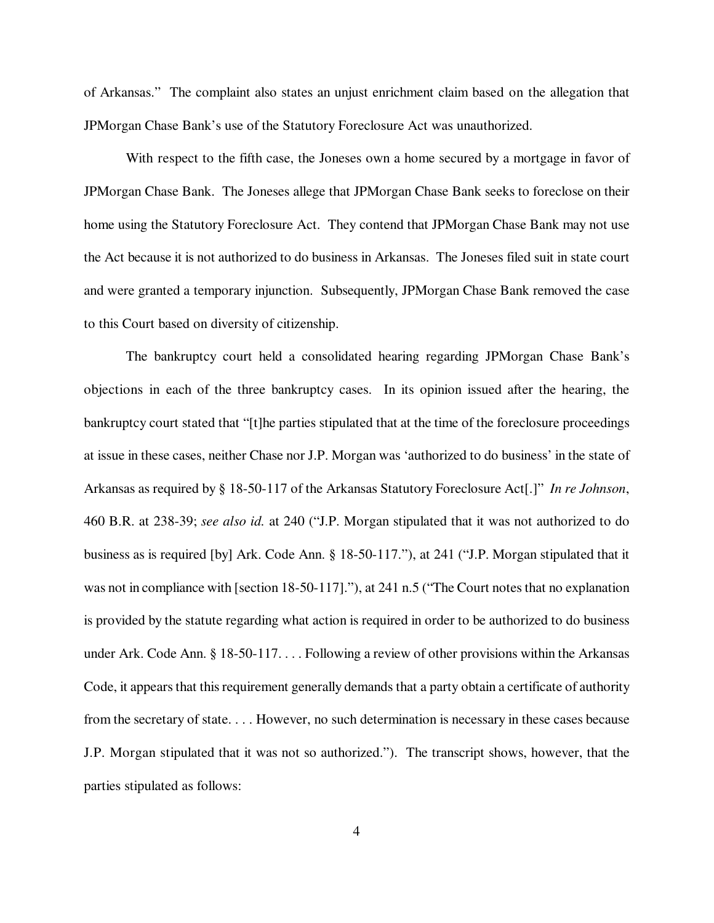of Arkansas." The complaint also states an unjust enrichment claim based on the allegation that JPMorgan Chase Bank's use of the Statutory Foreclosure Act was unauthorized.

With respect to the fifth case, the Joneses own a home secured by a mortgage in favor of JPMorgan Chase Bank. The Joneses allege that JPMorgan Chase Bank seeks to foreclose on their home using the Statutory Foreclosure Act. They contend that JPMorgan Chase Bank may not use the Act because it is not authorized to do business in Arkansas. The Joneses filed suit in state court and were granted a temporary injunction. Subsequently, JPMorgan Chase Bank removed the case to this Court based on diversity of citizenship.

The bankruptcy court held a consolidated hearing regarding JPMorgan Chase Bank's objections in each of the three bankruptcy cases. In its opinion issued after the hearing, the bankruptcy court stated that "[t]he parties stipulated that at the time of the foreclosure proceedings at issue in these cases, neither Chase nor J.P. Morgan was 'authorized to do business' in the state of Arkansas as required by § 18-50-117 of the Arkansas Statutory Foreclosure Act[.]" *In re Johnson*, 460 B.R. at 238-39; *see also id.* at 240 ("J.P. Morgan stipulated that it was not authorized to do business as is required [by] Ark. Code Ann. § 18-50-117."), at 241 ("J.P. Morgan stipulated that it was not in compliance with [section 18-50-117]."), at 241 n.5 ("The Court notes that no explanation is provided by the statute regarding what action is required in order to be authorized to do business under Ark. Code Ann. § 18-50-117. . . . Following a review of other provisions within the Arkansas Code, it appears that this requirement generally demands that a party obtain a certificate of authority from the secretary of state. . . . However, no such determination is necessary in these cases because J.P. Morgan stipulated that it was not so authorized."). The transcript shows, however, that the parties stipulated as follows: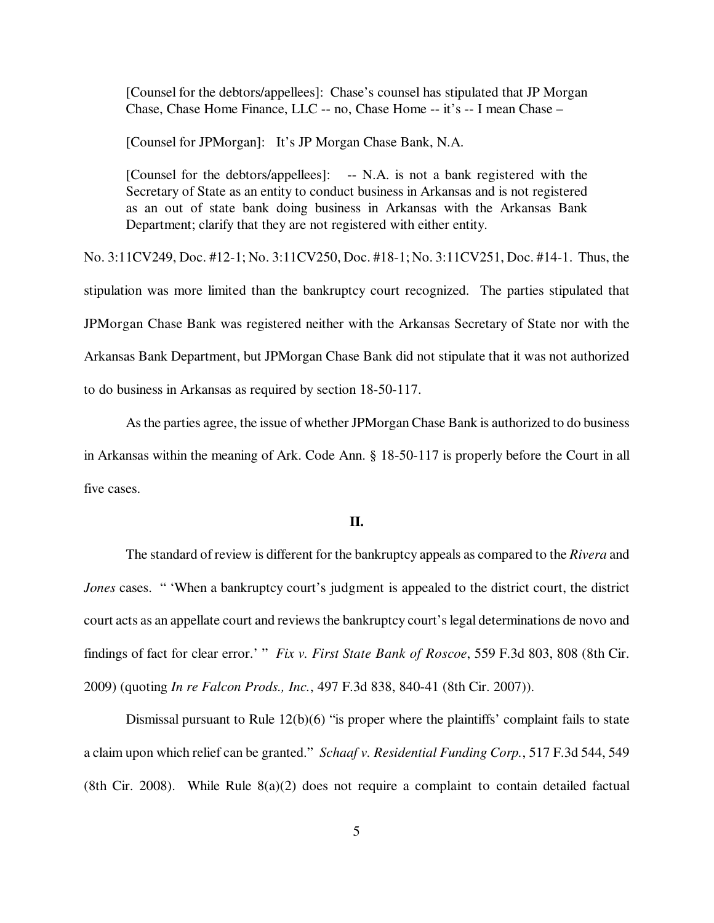[Counsel for the debtors/appellees]: Chase's counsel has stipulated that JP Morgan Chase, Chase Home Finance, LLC -- no, Chase Home -- it's -- I mean Chase –

[Counsel for JPMorgan]: It's JP Morgan Chase Bank, N.A.

[Counsel for the debtors/appellees]: -- N.A. is not a bank registered with the Secretary of State as an entity to conduct business in Arkansas and is not registered as an out of state bank doing business in Arkansas with the Arkansas Bank Department; clarify that they are not registered with either entity.

No. 3:11CV249, Doc. #12-1; No. 3:11CV250, Doc. #18-1; No. 3:11CV251, Doc. #14-1. Thus, the stipulation was more limited than the bankruptcy court recognized. The parties stipulated that JPMorgan Chase Bank was registered neither with the Arkansas Secretary of State nor with the Arkansas Bank Department, but JPMorgan Chase Bank did not stipulate that it was not authorized to do business in Arkansas as required by section 18-50-117.

As the parties agree, the issue of whether JPMorgan Chase Bank is authorized to do business in Arkansas within the meaning of Ark. Code Ann. § 18-50-117 is properly before the Court in all five cases.

### **II.**

The standard of review is different for the bankruptcy appeals as compared to the *Rivera* and *Jones* cases. " 'When a bankruptcy court's judgment is appealed to the district court, the district court acts as an appellate court and reviews the bankruptcy court's legal determinations de novo and findings of fact for clear error.' " *Fix v. First State Bank of Roscoe*, 559 F.3d 803, 808 (8th Cir. 2009) (quoting *In re Falcon Prods., Inc.*, 497 F.3d 838, 840-41 (8th Cir. 2007)).

Dismissal pursuant to Rule 12(b)(6) "is proper where the plaintiffs' complaint fails to state a claim upon which relief can be granted." *Schaaf v. Residential Funding Corp.*, 517 F.3d 544, 549 (8th Cir. 2008). While Rule  $8(a)(2)$  does not require a complaint to contain detailed factual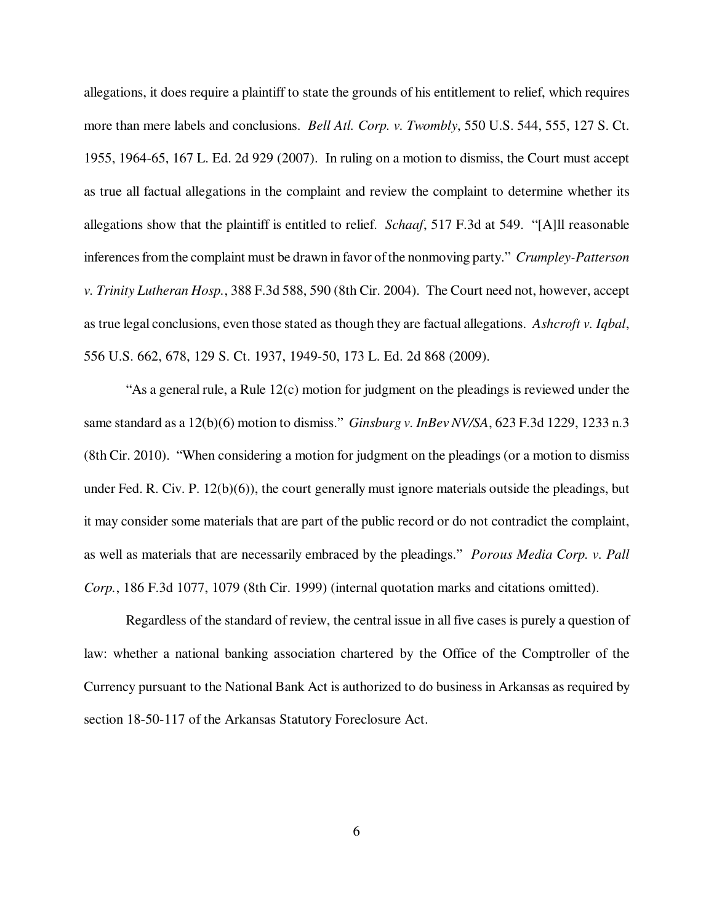allegations, it does require a plaintiff to state the grounds of his entitlement to relief, which requires more than mere labels and conclusions. *Bell Atl. Corp. v. Twombly*, 550 U.S. 544, 555, 127 S. Ct. 1955, 1964-65, 167 L. Ed. 2d 929 (2007). In ruling on a motion to dismiss, the Court must accept as true all factual allegations in the complaint and review the complaint to determine whether its allegations show that the plaintiff is entitled to relief. *Schaaf*, 517 F.3d at 549. "[A]ll reasonable inferences from the complaint must be drawn in favor of the nonmoving party." *Crumpley-Patterson v. Trinity Lutheran Hosp.*, 388 F.3d 588, 590 (8th Cir. 2004). The Court need not, however, accept as true legal conclusions, even those stated as though they are factual allegations. *Ashcroft v. Iqbal*, 556 U.S. 662, 678, 129 S. Ct. 1937, 1949-50, 173 L. Ed. 2d 868 (2009).

"As a general rule, a Rule 12(c) motion for judgment on the pleadings is reviewed under the same standard as a 12(b)(6) motion to dismiss." *Ginsburg v. InBev NV/SA*, 623 F.3d 1229, 1233 n.3 (8th Cir. 2010). "When considering a motion for judgment on the pleadings (or a motion to dismiss under Fed. R. Civ. P. 12(b)(6)), the court generally must ignore materials outside the pleadings, but it may consider some materials that are part of the public record or do not contradict the complaint, as well as materials that are necessarily embraced by the pleadings." *Porous Media Corp. v. Pall Corp.*, 186 F.3d 1077, 1079 (8th Cir. 1999) (internal quotation marks and citations omitted).

Regardless of the standard of review, the central issue in all five cases is purely a question of law: whether a national banking association chartered by the Office of the Comptroller of the Currency pursuant to the National Bank Act is authorized to do business in Arkansas as required by section 18-50-117 of the Arkansas Statutory Foreclosure Act.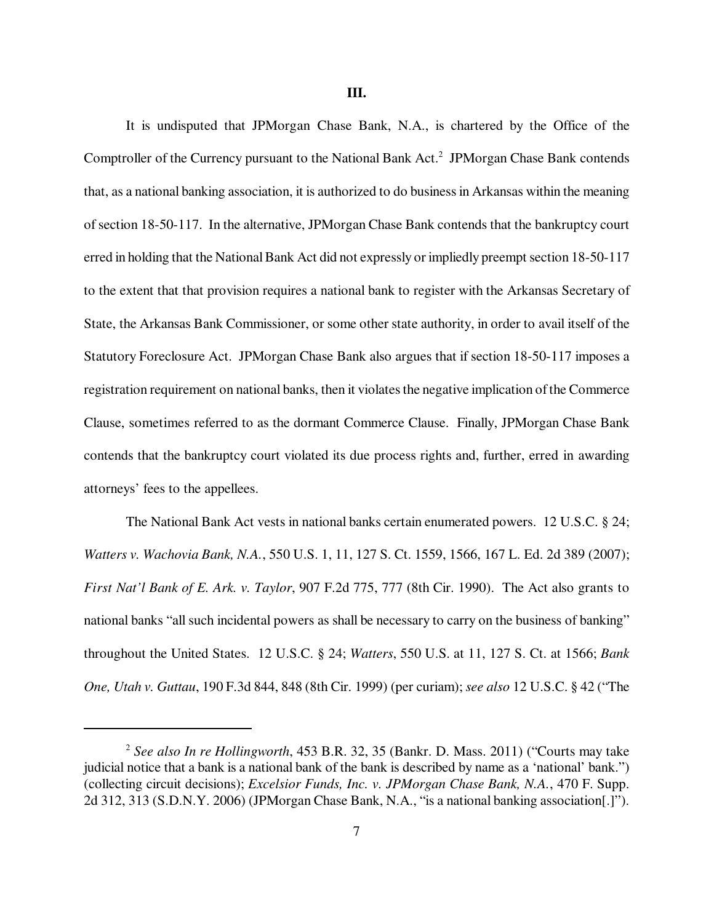It is undisputed that JPMorgan Chase Bank, N.A., is chartered by the Office of the Comptroller of the Currency pursuant to the National Bank Act.<sup>2</sup> JPMorgan Chase Bank contends that, as a national banking association, it is authorized to do business in Arkansas within the meaning of section 18-50-117. In the alternative, JPMorgan Chase Bank contends that the bankruptcy court erred in holding that the National Bank Act did not expressly or impliedly preempt section 18-50-117 to the extent that that provision requires a national bank to register with the Arkansas Secretary of State, the Arkansas Bank Commissioner, or some other state authority, in order to avail itself of the Statutory Foreclosure Act. JPMorgan Chase Bank also argues that if section 18-50-117 imposes a registration requirement on national banks, then it violates the negative implication of the Commerce Clause, sometimes referred to as the dormant Commerce Clause. Finally, JPMorgan Chase Bank contends that the bankruptcy court violated its due process rights and, further, erred in awarding attorneys' fees to the appellees.

The National Bank Act vests in national banks certain enumerated powers. 12 U.S.C. § 24; *Watters v. Wachovia Bank, N.A.*, 550 U.S. 1, 11, 127 S. Ct. 1559, 1566, 167 L. Ed. 2d 389 (2007); *First Nat'l Bank of E. Ark. v. Taylor*, 907 F.2d 775, 777 (8th Cir. 1990). The Act also grants to national banks "all such incidental powers as shall be necessary to carry on the business of banking" throughout the United States. 12 U.S.C. § 24; *Watters*, 550 U.S. at 11, 127 S. Ct. at 1566; *Bank One, Utah v. Guttau*, 190 F.3d 844, 848 (8th Cir. 1999) (per curiam); *see also* 12 U.S.C. § 42 ("The

<sup>2</sup> *See also In re Hollingworth*, 453 B.R. 32, 35 (Bankr. D. Mass. 2011) ("Courts may take judicial notice that a bank is a national bank of the bank is described by name as a 'national' bank.") (collecting circuit decisions); *Excelsior Funds, Inc. v. JPMorgan Chase Bank, N.A.*, 470 F. Supp. 2d 312, 313 (S.D.N.Y. 2006) (JPMorgan Chase Bank, N.A., "is a national banking association[.]").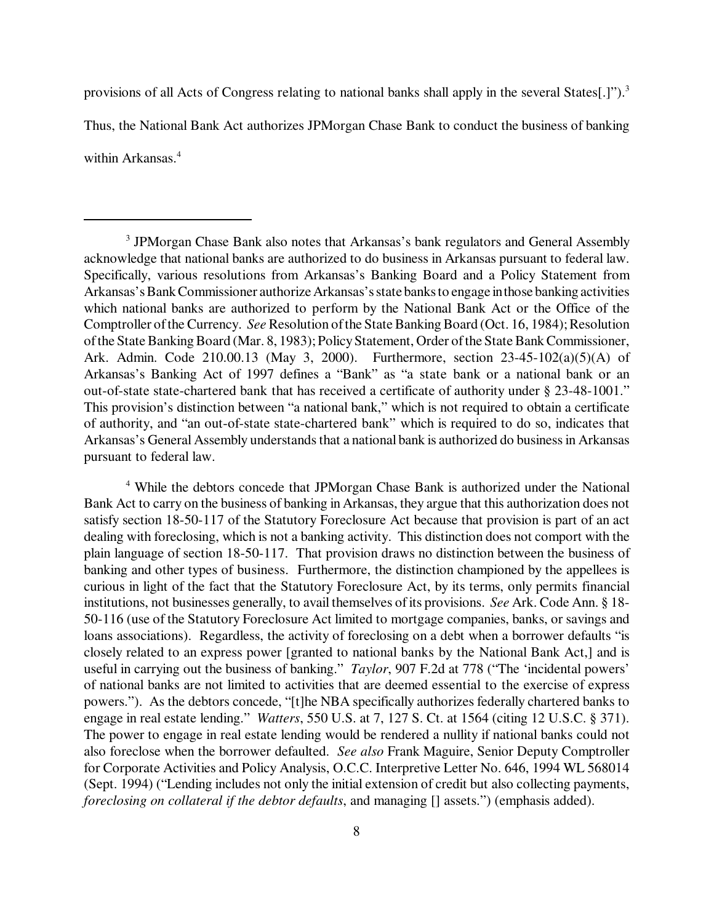provisions of all Acts of Congress relating to national banks shall apply in the several States[.]").<sup>3</sup> Thus, the National Bank Act authorizes JPMorgan Chase Bank to conduct the business of banking within Arkansas.<sup>4</sup>

<sup>4</sup> While the debtors concede that JPMorgan Chase Bank is authorized under the National Bank Act to carry on the business of banking in Arkansas, they argue that this authorization does not satisfy section 18-50-117 of the Statutory Foreclosure Act because that provision is part of an act dealing with foreclosing, which is not a banking activity. This distinction does not comport with the plain language of section 18-50-117. That provision draws no distinction between the business of banking and other types of business. Furthermore, the distinction championed by the appellees is curious in light of the fact that the Statutory Foreclosure Act, by its terms, only permits financial institutions, not businesses generally, to avail themselves of its provisions. *See* Ark. Code Ann. § 18- 50-116 (use of the Statutory Foreclosure Act limited to mortgage companies, banks, or savings and loans associations). Regardless, the activity of foreclosing on a debt when a borrower defaults "is closely related to an express power [granted to national banks by the National Bank Act,] and is useful in carrying out the business of banking." *Taylor*, 907 F.2d at 778 ("The 'incidental powers' of national banks are not limited to activities that are deemed essential to the exercise of express powers."). As the debtors concede, "[t]he NBA specifically authorizes federally chartered banks to engage in real estate lending." *Watters*, 550 U.S. at 7, 127 S. Ct. at 1564 (citing 12 U.S.C. § 371). The power to engage in real estate lending would be rendered a nullity if national banks could not also foreclose when the borrower defaulted. *See also* Frank Maguire, Senior Deputy Comptroller for Corporate Activities and Policy Analysis, O.C.C. Interpretive Letter No. 646, 1994 WL 568014 (Sept. 1994) ("Lending includes not only the initial extension of credit but also collecting payments, *foreclosing on collateral if the debtor defaults*, and managing [] assets.") (emphasis added).

<sup>&</sup>lt;sup>3</sup> JPMorgan Chase Bank also notes that Arkansas's bank regulators and General Assembly acknowledge that national banks are authorized to do business in Arkansas pursuant to federal law. Specifically, various resolutions from Arkansas's Banking Board and a Policy Statement from Arkansas's Bank Commissioner authorize Arkansas's state banks to engage in those banking activities which national banks are authorized to perform by the National Bank Act or the Office of the Comptroller of the Currency. *See* Resolution of the State Banking Board (Oct. 16, 1984); Resolution of the State Banking Board (Mar. 8, 1983); Policy Statement, Order of the State Bank Commissioner, Ark. Admin. Code 210.00.13 (May 3, 2000). Furthermore, section 23-45-102(a)(5)(A) of Arkansas's Banking Act of 1997 defines a "Bank" as "a state bank or a national bank or an out-of-state state-chartered bank that has received a certificate of authority under § 23-48-1001." This provision's distinction between "a national bank," which is not required to obtain a certificate of authority, and "an out-of-state state-chartered bank" which is required to do so, indicates that Arkansas's General Assembly understands that a national bank is authorized do business in Arkansas pursuant to federal law.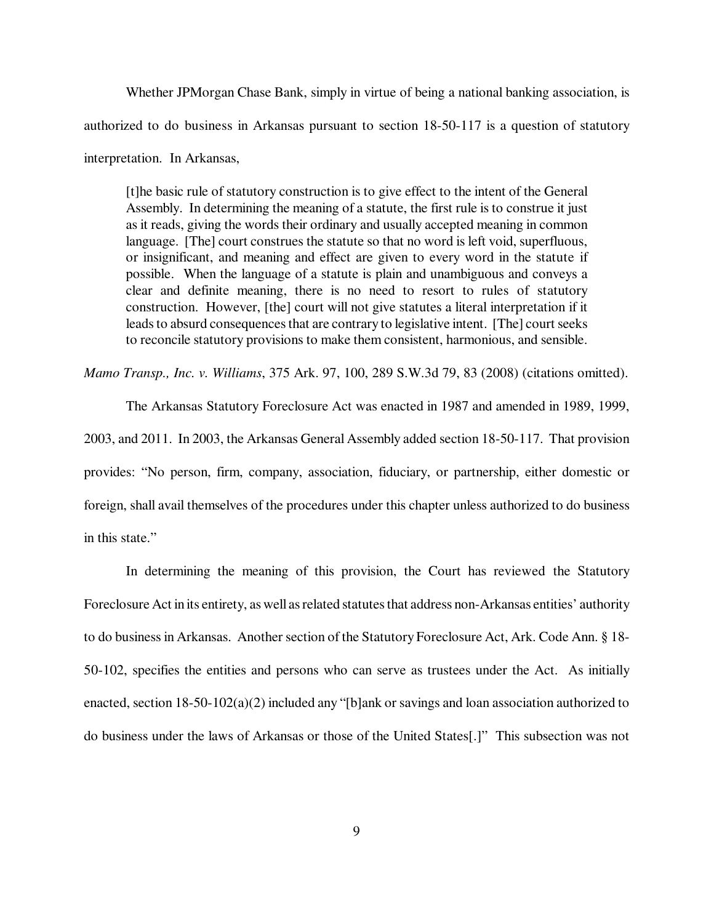Whether JPMorgan Chase Bank, simply in virtue of being a national banking association, is authorized to do business in Arkansas pursuant to section 18-50-117 is a question of statutory interpretation. In Arkansas,

[t]he basic rule of statutory construction is to give effect to the intent of the General Assembly. In determining the meaning of a statute, the first rule is to construe it just as it reads, giving the words their ordinary and usually accepted meaning in common language. [The] court construes the statute so that no word is left void, superfluous, or insignificant, and meaning and effect are given to every word in the statute if possible. When the language of a statute is plain and unambiguous and conveys a clear and definite meaning, there is no need to resort to rules of statutory construction. However, [the] court will not give statutes a literal interpretation if it leads to absurd consequences that are contrary to legislative intent. [The] court seeks to reconcile statutory provisions to make them consistent, harmonious, and sensible.

*Mamo Transp., Inc. v. Williams*, 375 Ark. 97, 100, 289 S.W.3d 79, 83 (2008) (citations omitted).

The Arkansas Statutory Foreclosure Act was enacted in 1987 and amended in 1989, 1999, 2003, and 2011. In 2003, the Arkansas General Assembly added section 18-50-117. That provision provides: "No person, firm, company, association, fiduciary, or partnership, either domestic or foreign, shall avail themselves of the procedures under this chapter unless authorized to do business

in this state."

In determining the meaning of this provision, the Court has reviewed the Statutory Foreclosure Act in its entirety, as well as related statutes that address non-Arkansas entities' authority to do business in Arkansas. Another section of the Statutory Foreclosure Act, Ark. Code Ann. § 18- 50-102, specifies the entities and persons who can serve as trustees under the Act. As initially enacted, section 18-50-102(a)(2) included any "[b]ank or savings and loan association authorized to do business under the laws of Arkansas or those of the United States[.]" This subsection was not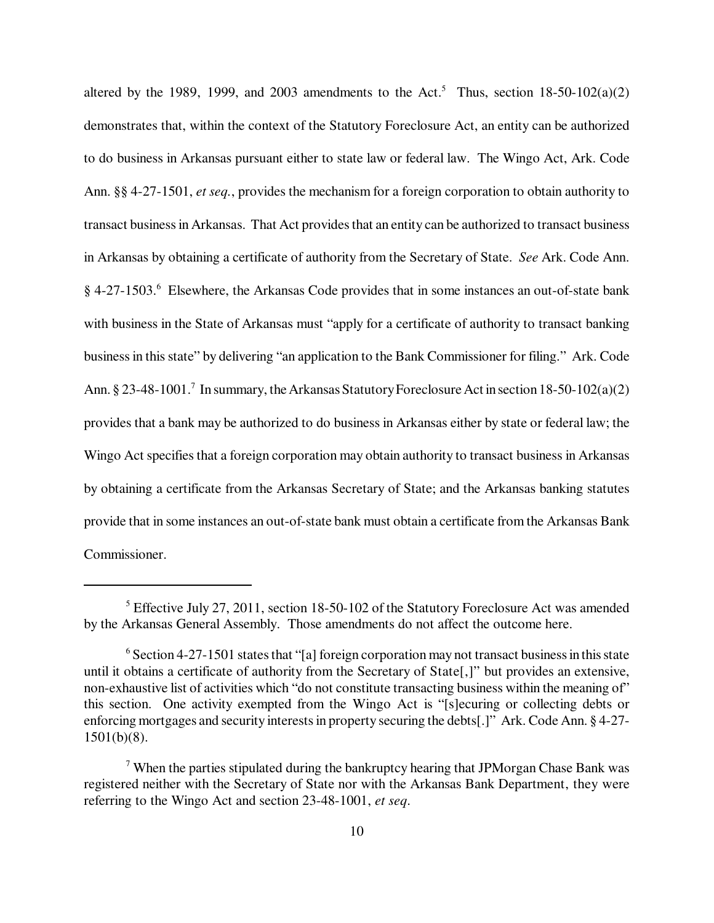altered by the 1989, 1999, and 2003 amendments to the Act.<sup>5</sup> Thus, section 18-50-102(a)(2) demonstrates that, within the context of the Statutory Foreclosure Act, an entity can be authorized to do business in Arkansas pursuant either to state law or federal law. The Wingo Act, Ark. Code Ann. §§ 4-27-1501, *et seq.*, provides the mechanism for a foreign corporation to obtain authority to transact business in Arkansas. That Act provides that an entity can be authorized to transact business in Arkansas by obtaining a certificate of authority from the Secretary of State. *See* Ark. Code Ann. § 4-27-1503.<sup>6</sup> Elsewhere, the Arkansas Code provides that in some instances an out-of-state bank with business in the State of Arkansas must "apply for a certificate of authority to transact banking business in this state" by delivering "an application to the Bank Commissioner for filing." Ark. Code Ann. § 23-48-1001.<sup>7</sup> In summary, the Arkansas Statutory Foreclosure Act in section 18-50-102(a)(2) provides that a bank may be authorized to do business in Arkansas either by state or federal law; the Wingo Act specifies that a foreign corporation may obtain authority to transact business in Arkansas by obtaining a certificate from the Arkansas Secretary of State; and the Arkansas banking statutes provide that in some instances an out-of-state bank must obtain a certificate from the Arkansas Bank Commissioner.

<sup>&</sup>lt;sup>5</sup> Effective July 27, 2011, section 18-50-102 of the Statutory Foreclosure Act was amended by the Arkansas General Assembly. Those amendments do not affect the outcome here.

<sup>&</sup>lt;sup>6</sup> Section 4-27-1501 states that "[a] foreign corporation may not transact business in this state until it obtains a certificate of authority from the Secretary of State[,]" but provides an extensive, non-exhaustive list of activities which "do not constitute transacting business within the meaning of" this section. One activity exempted from the Wingo Act is "[s]ecuring or collecting debts or enforcing mortgages and security interests in property securing the debts[.]" Ark. Code Ann. § 4-27- 1501(b)(8).

 $7$  When the parties stipulated during the bankruptcy hearing that JPMorgan Chase Bank was registered neither with the Secretary of State nor with the Arkansas Bank Department, they were referring to the Wingo Act and section 23-48-1001, *et seq*.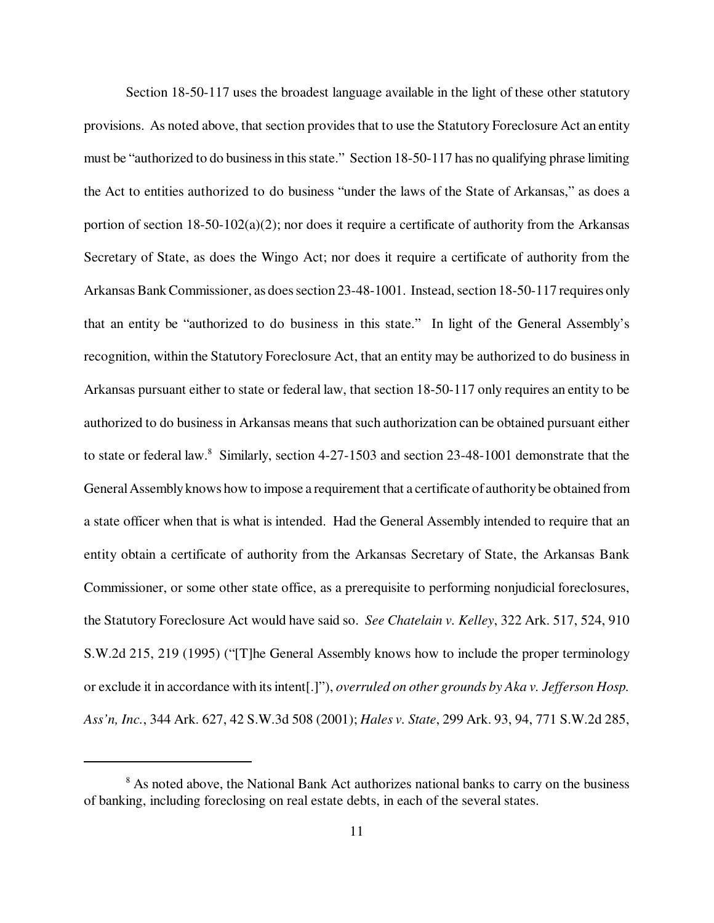Section 18-50-117 uses the broadest language available in the light of these other statutory provisions. As noted above, that section provides that to use the Statutory Foreclosure Act an entity must be "authorized to do business in this state." Section 18-50-117 has no qualifying phrase limiting the Act to entities authorized to do business "under the laws of the State of Arkansas," as does a portion of section 18-50-102(a)(2); nor does it require a certificate of authority from the Arkansas Secretary of State, as does the Wingo Act; nor does it require a certificate of authority from the Arkansas Bank Commissioner, as does section 23-48-1001. Instead, section 18-50-117 requires only that an entity be "authorized to do business in this state." In light of the General Assembly's recognition, within the Statutory Foreclosure Act, that an entity may be authorized to do business in Arkansas pursuant either to state or federal law, that section 18-50-117 only requires an entity to be authorized to do business in Arkansas means that such authorization can be obtained pursuant either to state or federal law.<sup>8</sup> Similarly, section 4-27-1503 and section 23-48-1001 demonstrate that the General Assembly knows how to impose a requirement that a certificate of authority be obtained from a state officer when that is what is intended. Had the General Assembly intended to require that an entity obtain a certificate of authority from the Arkansas Secretary of State, the Arkansas Bank Commissioner, or some other state office, as a prerequisite to performing nonjudicial foreclosures, the Statutory Foreclosure Act would have said so. *See Chatelain v. Kelley*, 322 Ark. 517, 524, 910 S.W.2d 215, 219 (1995) ("[T]he General Assembly knows how to include the proper terminology or exclude it in accordance with its intent[.]"), *overruled on other grounds by Aka v. Jefferson Hosp. Ass'n, Inc.*, 344 Ark. 627, 42 S.W.3d 508 (2001); *Hales v. State*, 299 Ark. 93, 94, 771 S.W.2d 285,

<sup>&</sup>lt;sup>8</sup> As noted above, the National Bank Act authorizes national banks to carry on the business of banking, including foreclosing on real estate debts, in each of the several states.